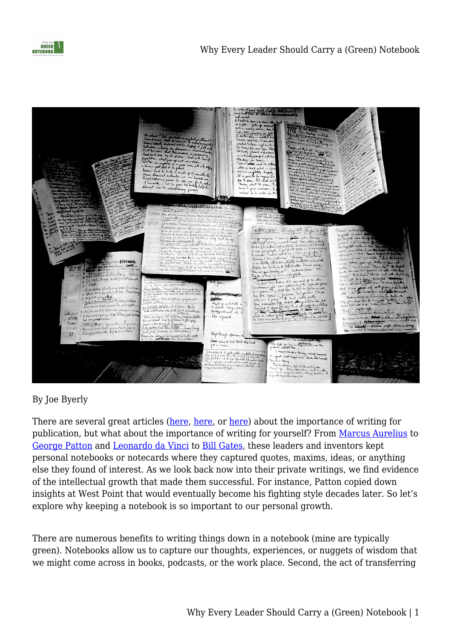



#### By Joe Byerly

There are several great articles [\(here](https://www.usni.org/magazines/proceedings/2008-08/read-think-write-and-publish), [here](https://warontherocks.com/2016/08/so-you-think-you-can-write-about-national-security/), or [here\)](https://fromthegreennotebook.com/2017/02/08/8-reasons-why-ncos-should-write-and-publish/) about the importance of writing for publication, but what about the importance of writing for yourself? From [Marcus Aurelius](http://classics.mit.edu/Antoninus/meditations.html) to [George Patton](https://www.ausa.org/articles/use-%E2%80%98mental-models%E2%80%99-outthink-enemy) and [Leonardo da Vinci](https://www.bl.uk/collection-items/leonardo-da-vinci-notebook) to [Bill Gates,](https://www.gatesnotes.com) these leaders and inventors kept personal notebooks or notecards where they captured quotes, maxims, ideas, or anything else they found of interest. As we look back now into their private writings, we find evidence of the intellectual growth that made them successful. For instance, Patton copied down insights at West Point that would eventually become his fighting style decades later. So let's explore why keeping a notebook is so important to our personal growth.

There are numerous benefits to writing things down in a notebook (mine are typically green). Notebooks allow us to capture our thoughts, experiences, or nuggets of wisdom that we might come across in books, podcasts, or the work place. Second, the act of transferring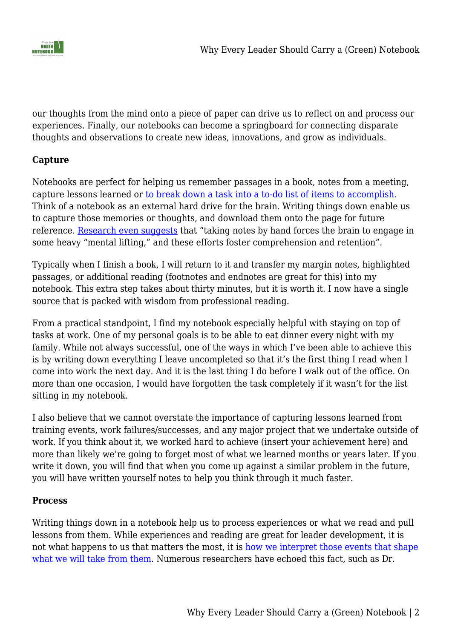

our thoughts from the mind onto a piece of paper can drive us to reflect on and process our experiences. Finally, our notebooks can become a springboard for connecting disparate thoughts and observations to create new ideas, innovations, and grow as individuals.

### **Capture**

Notebooks are perfect for helping us remember passages in a book, notes from a meeting, capture lessons learned or [to break down a task into a to-do list of items to accomplish](https://www.fastcompany.com/3063392/how-writing-to-do-lists-helps-your-brain-even-when-you-dont-comple). Think of a notebook as an external hard drive for the brain. Writing things down enable us to capture those memories or thoughts, and download them onto the page for future reference. [Research even suggests](https://www.scientificamerican.com/article/a-learning-secret-don-t-take-notes-with-a-laptop/) that "taking notes by hand forces the brain to engage in some heavy "mental lifting," and these efforts foster comprehension and retention".

Typically when I finish a book, I will return to it and transfer my margin notes, highlighted passages, or additional reading (footnotes and endnotes are great for this) into my notebook. This extra step takes about thirty minutes, but it is worth it. I now have a single source that is packed with wisdom from professional reading.

From a practical standpoint, I find my notebook especially helpful with staying on top of tasks at work. One of my personal goals is to be able to eat dinner every night with my family. While not always successful, one of the ways in which I've been able to achieve this is by writing down everything I leave uncompleted so that it's the first thing I read when I come into work the next day. And it is the last thing I do before I walk out of the office. On more than one occasion, I would have forgotten the task completely if it wasn't for the list sitting in my notebook.

I also believe that we cannot overstate the importance of capturing lessons learned from training events, work failures/successes, and any major project that we undertake outside of work. If you think about it, we worked hard to achieve (insert your achievement here) and more than likely we're going to forget most of what we learned months or years later. If you write it down, you will find that when you come up against a similar problem in the future, you will have written yourself notes to help you think through it much faster.

#### **Process**

Writing things down in a notebook help us to process experiences or what we read and pull lessons from them. While experiences and reading are great for leader development, it is not what happens to us that matters the most, it is [how we interpret those events that shape](https://hbr.org/product/Leader-ship--Development/an/408064-PDF-ENG) [what we will take from them](https://hbr.org/product/Leader-ship--Development/an/408064-PDF-ENG). Numerous researchers have echoed this fact, such as Dr.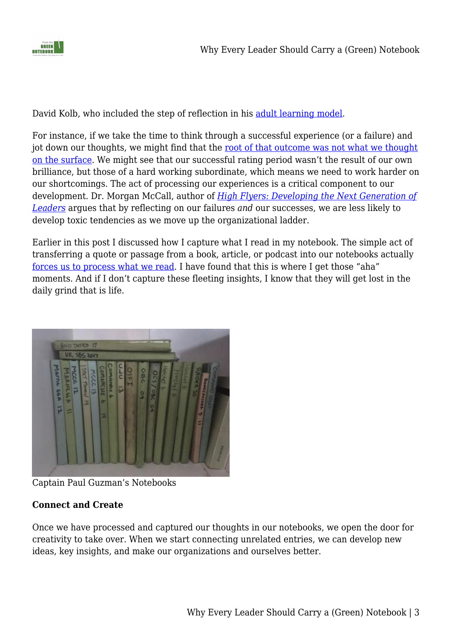

David Kolb, who included the step of reflection in his [adult learning model](https://www.simplypsychology.org/learning-kolb.html).

For instance, if we take the time to think through a successful experience (or a failure) and jot down our thoughts, we might find that the [root of that outcome was not what we thought](https://fromthegreennotebook.com/2016/04/10/the-luck-factor/) [on the surface](https://fromthegreennotebook.com/2016/04/10/the-luck-factor/). We might see that our successful rating period wasn't the result of our own brilliance, but those of a hard working subordinate, which means we need to work harder on our shortcomings. The act of processing our experiences is a critical component to our development. Dr. Morgan McCall, author of *[High Flyers: Developing the Next Generation of](https://www.amazon.com/gp/product/0875843360/ref=as_li_qf_sp_asin_il_tl?ie=UTF8&tag=fromthegreenn-20&camp=1789&creative=9325&linkCode=as2&creativeASIN=0875843360&linkId=8898301436176d6fd8735092b415a780) [Leaders](https://www.amazon.com/gp/product/0875843360/ref=as_li_qf_sp_asin_il_tl?ie=UTF8&tag=fromthegreenn-20&camp=1789&creative=9325&linkCode=as2&creativeASIN=0875843360&linkId=8898301436176d6fd8735092b415a780)* argues that by reflecting on our failures *and* our successes, we are less likely to develop toxic tendencies as we move up the organizational ladder.

Earlier in this post I discussed how I capture what I read in my notebook. The simple act of transferring a quote or passage from a book, article, or podcast into our notebooks actually [forces us to process what we read.](https://journal.thriveglobal.com/start-journaling-54ea2edb104) I have found that this is where I get those "aha" moments. And if I don't capture these fleeting insights, I know that they will get lost in the daily grind that is life.



Captain Paul Guzman's Notebooks

# **Connect and Create**

Once we have processed and captured our thoughts in our notebooks, we open the door for creativity to take over. When we start connecting unrelated entries, we can develop new ideas, key insights, and make our organizations and ourselves better.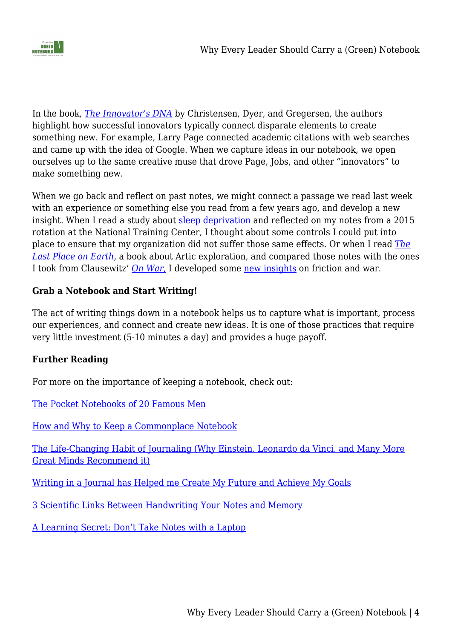

In the book, *[The Innovator's DNA](https://www.amazon.com/gp/product/1422134814/ref=as_li_qf_sp_asin_il_tl?ie=UTF8&tag=fromthegreenn-20&camp=1789&creative=9325&linkCode=as2&creativeASIN=1422134814&linkId=1ce67924ad37de4cdc42edf66b8f0ad1)* by Christensen, Dyer, and Gregersen, the authors highlight how successful innovators typically connect disparate elements to create something new. For example, Larry Page connected academic citations with web searches and came up with the idea of Google. When we capture ideas in our notebook, we open ourselves up to the same creative muse that drove Page, Jobs, and other "innovators" to make something new.

When we go back and reflect on past notes, we might connect a passage we read last week with an experience or something else you read from a few years ago, and develop a new insight. When I read a study about [sleep deprivation](http://www.independent.co.uk/life-style/health-and-families/sleep-deprivation-how-affects-your-brain-tiredness-insomnia-a7809756.html) and reflected on my notes from a 2015 rotation at the National Training Center, I thought about some controls I could put into place to ensure that my organization did not suffer those same effects. Or when I read *[The](https://www.amazon.com/gp/product/0375754741/ref=as_li_qf_sp_asin_il_tl?ie=UTF8&tag=fromthegreenn-20&camp=1789&creative=9325&linkCode=as2&creativeASIN=0375754741&linkId=3dce5589cc3147a8d441e075eabceaa7) [Last Place on Earth](https://www.amazon.com/gp/product/0375754741/ref=as_li_qf_sp_asin_il_tl?ie=UTF8&tag=fromthegreenn-20&camp=1789&creative=9325&linkCode=as2&creativeASIN=0375754741&linkId=3dce5589cc3147a8d441e075eabceaa7)*, a book about Artic exploration, and compared those notes with the ones I took from Clausewitz' *[On War](https://www.amazon.com/gp/product/0691018545/ref=as_li_qf_sp_asin_il_tl?ie=UTF8&tag=fromthegreenn-20&camp=1789&creative=9325&linkCode=as2&creativeASIN=0691018545&linkId=3b71db91735c4f256cf1c2f87faf083d)*[,](https://www.amazon.com/gp/product/0691018545/ref=as_li_qf_sp_asin_il_tl?ie=UTF8&tag=fromthegreenn-20&camp=1789&creative=9325&linkCode=as2&creativeASIN=0691018545&linkId=3b71db91735c4f256cf1c2f87faf083d) I developed some [new insights](https://fromthegreennotebook.com/2013/08/13/what-two-polar-explorers-teach-us-about-war-and-leadership/) on friction and war.

# **Grab a Notebook and Start Writing!**

The act of writing things down in a notebook helps us to capture what is important, process our experiences, and connect and create new ideas. It is one of those practices that require very little investment (5-10 minutes a day) and provides a huge payoff.

#### **Further Reading**

For more on the importance of keeping a notebook, check out:

[The Pocket Notebooks of 20 Famous Men](http://www.artofmanliness.com/2010/09/13/the-pocket-notebooks-of-20-famous-men/)

[How and Why to Keep a Commonplace Notebook](https://ryanholiday.net/how-and-why-to-keep-a-commonplace-book/)

[The Life-Changing Habit of Journaling \(Why Einstein, Leonardo da Vinci, and Many More](https://journal.thriveglobal.com/start-journaling-54ea2edb104) [Great Minds Recommend it\)](https://journal.thriveglobal.com/start-journaling-54ea2edb104)

[Writing in a Journal has Helped me Create My Future and Achieve My Goals](https://www.inc.com/benjamin-p-hardy/how-i-use-my-journal-to-create-my-future-achieve-my-goals.html?utm_content=bufferfb725&utm_medium=social&utm_source=facebook.com&utm_campaign=buffer)

[3 Scientific Links Between Handwriting Your Notes and Memory](https://redbooth.com/blog/handwriting-and-memory)

[A Learning Secret: Don't Take Notes with a Laptop](https://www.scientificamerican.com/article/a-learning-secret-don-t-take-notes-with-a-laptop/)